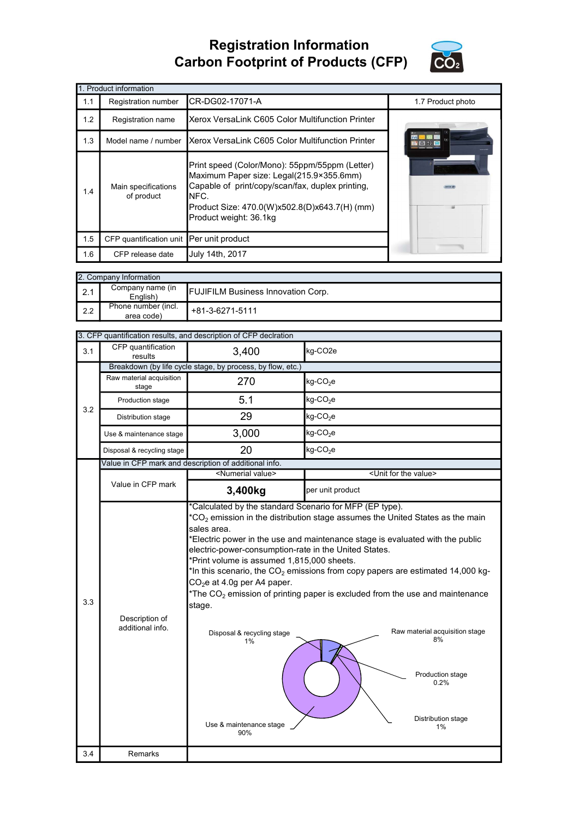## Registration Information Carbon Footprint of Products (CFP)



|     | 1. Product information                   |                                                                                                                                                                                                                                   |                   |  |  |  |
|-----|------------------------------------------|-----------------------------------------------------------------------------------------------------------------------------------------------------------------------------------------------------------------------------------|-------------------|--|--|--|
| 1.1 | Registration number                      | CR-DG02-17071-A                                                                                                                                                                                                                   | 1.7 Product photo |  |  |  |
| 1.2 | Registration name                        | Xerox VersaLink C605 Color Multifunction Printer                                                                                                                                                                                  |                   |  |  |  |
| 1.3 | Model name / number                      | Xerox VersaLink C605 Color Multifunction Printer                                                                                                                                                                                  |                   |  |  |  |
| 1.4 | Main specifications<br>of product        | Print speed (Color/Mono): 55ppm/55ppm (Letter)<br>Maximum Paper size: Legal(215.9×355.6mm)<br>Capable of print/copy/scan/fax, duplex printing,<br>NFC.<br>Product Size: 470.0(W)x502.8(D)x643.7(H) (mm)<br>Product weight: 36.1kg |                   |  |  |  |
| 1.5 | CFP quantification unit Per unit product |                                                                                                                                                                                                                                   |                   |  |  |  |
| 1.6 | CFP release date                         | July 14th, 2017                                                                                                                                                                                                                   |                   |  |  |  |

| 2. Company Information |                                   |                                           |  |  |
|------------------------|-----------------------------------|-------------------------------------------|--|--|
| 2.1                    | Company name (in<br>English)      | <b>FUJIFILM Business Innovation Corp.</b> |  |  |
| 2.2                    | Phone number (incl.<br>area code) | +81-3-6271-5111                           |  |  |

| CFP quantification<br>3,400<br>kg-CO <sub>2e</sub><br>3.1<br>results<br>Breakdown (by life cycle stage, by process, by flow, etc.)<br>Raw material acquisition<br>270<br>$kg$ -CO <sub>2</sub> e<br>stage<br>5.1<br>$kg$ -CO <sub>2</sub> e<br>Production stage<br>3.2<br>29<br>$kg$ -CO <sub>2</sub> e<br>Distribution stage<br>3,000<br>$kg$ -CO <sub>2</sub> e<br>Use & maintenance stage<br>20<br>kg-CO <sub>2</sub> e<br>Disposal & recycling stage<br>Value in CFP mark and description of additional info.<br><numerial value=""><br/><unit for="" the="" value=""><br/>Value in CFP mark<br/>3,400kg<br/>per unit product<br/>Calculated by the standard Scenario for MFP (EP type).<br/><math>{}^{\star}CO_{2}</math> emission in the distribution stage assumes the United States as the main<br/>sales area.<br/>Electric power in the use and maintenance stage is evaluated with the public</unit></numerial> |
|----------------------------------------------------------------------------------------------------------------------------------------------------------------------------------------------------------------------------------------------------------------------------------------------------------------------------------------------------------------------------------------------------------------------------------------------------------------------------------------------------------------------------------------------------------------------------------------------------------------------------------------------------------------------------------------------------------------------------------------------------------------------------------------------------------------------------------------------------------------------------------------------------------------------------|
|                                                                                                                                                                                                                                                                                                                                                                                                                                                                                                                                                                                                                                                                                                                                                                                                                                                                                                                            |
|                                                                                                                                                                                                                                                                                                                                                                                                                                                                                                                                                                                                                                                                                                                                                                                                                                                                                                                            |
|                                                                                                                                                                                                                                                                                                                                                                                                                                                                                                                                                                                                                                                                                                                                                                                                                                                                                                                            |
|                                                                                                                                                                                                                                                                                                                                                                                                                                                                                                                                                                                                                                                                                                                                                                                                                                                                                                                            |
|                                                                                                                                                                                                                                                                                                                                                                                                                                                                                                                                                                                                                                                                                                                                                                                                                                                                                                                            |
|                                                                                                                                                                                                                                                                                                                                                                                                                                                                                                                                                                                                                                                                                                                                                                                                                                                                                                                            |
|                                                                                                                                                                                                                                                                                                                                                                                                                                                                                                                                                                                                                                                                                                                                                                                                                                                                                                                            |
|                                                                                                                                                                                                                                                                                                                                                                                                                                                                                                                                                                                                                                                                                                                                                                                                                                                                                                                            |
|                                                                                                                                                                                                                                                                                                                                                                                                                                                                                                                                                                                                                                                                                                                                                                                                                                                                                                                            |
|                                                                                                                                                                                                                                                                                                                                                                                                                                                                                                                                                                                                                                                                                                                                                                                                                                                                                                                            |
| electric-power-consumption-rate in the United States.<br>*Print volume is assumed 1,815,000 sheets.<br>*In this scenario, the $CO2$ emissions from copy papers are estimated 14,000 kg-<br>CO <sub>2</sub> e at 4.0g per A4 paper.<br>*The $CO2$ emission of printing paper is excluded from the use and maintenance<br>3.3<br>stage.<br>Description of<br>additional info.<br>Raw material acquisition stage<br>Disposal & recycling stage<br>8%<br>1%<br>Production stage<br>0.2%<br>Distribution stage<br>Use & maintenance stage<br>1%<br>90%                                                                                                                                                                                                                                                                                                                                                                          |
| 3.4<br>Remarks                                                                                                                                                                                                                                                                                                                                                                                                                                                                                                                                                                                                                                                                                                                                                                                                                                                                                                             |